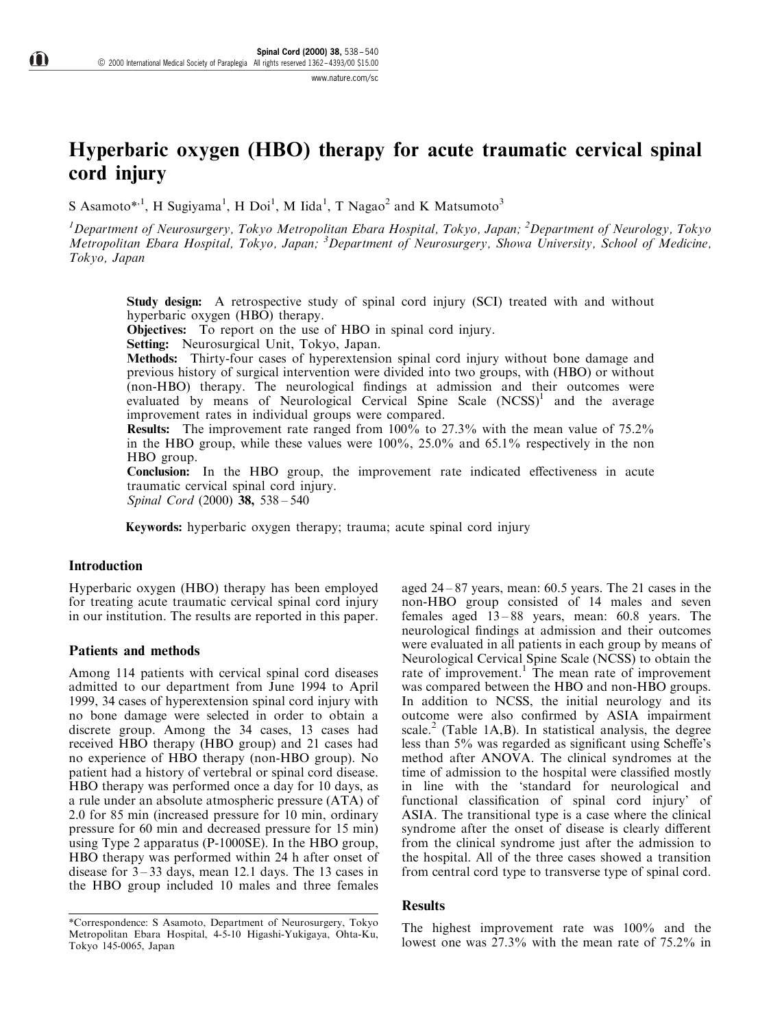# Hyperbaric oxygen (HBO) therapy for acute traumatic cervical spinal cord injury

S Asamoto\*<sup>1</sup>, H Sugiyama<sup>1</sup>, H Doi<sup>1</sup>, M Iida<sup>1</sup>, T Nagao<sup>2</sup> and K Matsumoto<sup>3</sup>

<sup>1</sup>Department of Neurosurgery, Tokyo Metropolitan Ebara Hospital, Tokyo, Japan; <sup>2</sup>Department of Neurology, Tokyo Metropolitan Ebara Hospital, Tokyo, Japan; <sup>3</sup>Department of Neurosurgery, Showa University, School of Medicine, Tokyo, Japan

Study design: A retrospective study of spinal cord injury (SCI) treated with and without hyperbaric oxygen (HBO) therapy.

Objectives: To report on the use of HBO in spinal cord injury.

Setting: Neurosurgical Unit, Tokyo, Japan.

Methods: Thirty-four cases of hyperextension spinal cord injury without bone damage and previous history of surgical intervention were divided into two groups, with (HBO) or without (non-HBO) therapy. The neurological findings at admission and their outcomes were evaluated by means of Neurological Cervical Spine Scale  $(NCSS)^{1}$  and the average improvement rates in individual groups were compared.

Results: The improvement rate ranged from 100% to 27.3% with the mean value of 75.2% in the HBO group, while these values were  $100\%$ ,  $25.0\%$  and  $65.1\%$  respectively in the non HBO group.

Conclusion: In the HBO group, the improvement rate indicated effectiveness in acute traumatic cervical spinal cord injury.

Spinal Cord  $(2000)$  38, 538  $-540$ 

Keywords: hyperbaric oxygen therapy; trauma; acute spinal cord injury

#### **Introduction**

Hyperbaric oxygen (HBO) therapy has been employed for treating acute traumatic cervical spinal cord injury in our institution. The results are reported in this paper.

#### Patients and methods

Among 114 patients with cervical spinal cord diseases admitted to our department from June 1994 to April 1999, 34 cases of hyperextension spinal cord injury with no bone damage were selected in order to obtain a discrete group. Among the 34 cases, 13 cases had received HBO therapy (HBO group) and 21 cases had no experience of HBO therapy (non-HBO group). No patient had a history of vertebral or spinal cord disease. HBO therapy was performed once a day for 10 days, as a rule under an absolute atmospheric pressure (ATA) of 2.0 for 85 min (increased pressure for 10 min, ordinary pressure for 60 min and decreased pressure for 15 min) using Type 2 apparatus (P-1000SE). In the HBO group, HBO therapy was performed within 24 h after onset of disease for  $3-33$  days, mean 12.1 days. The 13 cases in the HBO group included 10 males and three females

\*Correspondence: S Asamoto, Department of Neurosurgery, Tokyo Metropolitan Ebara Hospital, 4-5-10 Higashi-Yukigaya, Ohta-Ku, Tokyo 145-0065, Japan

aged  $24 - 87$  years, mean: 60.5 years. The 21 cases in the non-HBO group consisted of 14 males and seven females aged  $13-88$  years, mean: 60.8 years. The neurological findings at admission and their outcomes were evaluated in all patients in each group by means of Neurological Cervical Spine Scale (NCSS) to obtain the rate of improvement.<sup>1</sup> The mean rate of improvement was compared between the HBO and non-HBO groups. In addition to NCSS, the initial neurology and its outcome were also confirmed by ASIA impairment scale.<sup>2</sup> (Table 1A,B). In statistical analysis, the degree less than 5% was regarded as significant using Scheffe's method after ANOVA. The clinical syndromes at the time of admission to the hospital were classified mostly in line with the `standard for neurological and functional classification of spinal cord injury' of ASIA. The transitional type is a case where the clinical syndrome after the onset of disease is clearly different from the clinical syndrome just after the admission to the hospital. All of the three cases showed a transition from central cord type to transverse type of spinal cord.

### Results

The highest improvement rate was 100% and the lowest one was 27.3% with the mean rate of 75.2% in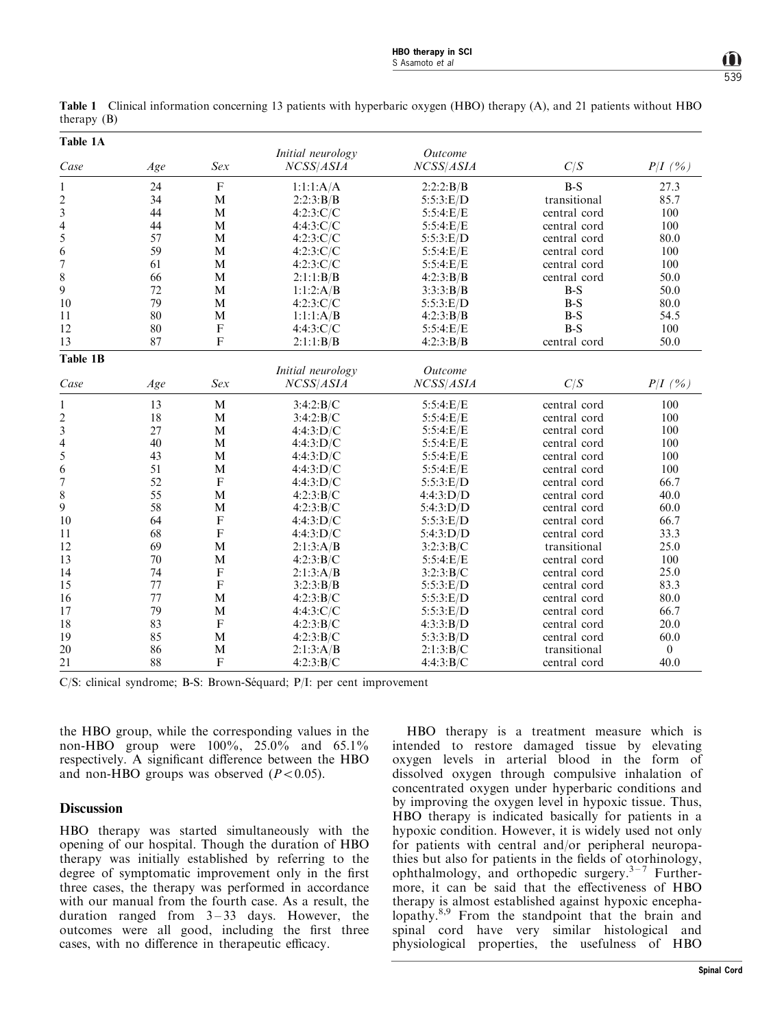| $\mathbf{u}$ $\mathbf{u}$ $\mathbf{v}$ $\mathbf{v}$<br>Table 1A<br>Initial neurology<br>Outcome |     |                           |                   |                |              |                  |
|-------------------------------------------------------------------------------------------------|-----|---------------------------|-------------------|----------------|--------------|------------------|
|                                                                                                 |     |                           |                   |                |              |                  |
| $\mathbf{1}$                                                                                    | 24  | $\mathbf F$               | 1:1:1:A/A         | 2:2:2:B/B      | $B-S$        | 27.3             |
| $\overline{\mathbf{c}}$                                                                         | 34  | M                         | 2:2:3:B/B         | 5:5:3: E/D     | transitional | 85.7             |
| 3                                                                                               | 44  | M                         | 4:2:3:C/C         | 5:5:4: E/E     | central cord | 100              |
| $\overline{\mathcal{L}}$                                                                        | 44  | M                         | 4:4:3:C/C         | 5:5:4: E/E     | central cord | 100              |
| 5                                                                                               | 57  | M                         | 4:2:3:C/C         | 5:5:3: E/D     | central cord | 80.0             |
| 6                                                                                               | 59  | M                         | 4:2:3:C/C         | 5:5:4: E/E     | central cord | 100              |
| $\boldsymbol{7}$                                                                                | 61  | M                         | 4:2:3:C/C         | 5:5:4: E/E     | central cord | 100              |
| 8                                                                                               | 66  | M                         | 2:1:1:B/B         | 4:2:3:B/B      | central cord | 50.0             |
| 9                                                                                               | 72  | M                         | 1:1:2:A/B         | 3:3:3:B/B      | $B-S$        | 50.0             |
| 10                                                                                              | 79  | M                         | 4:2:3:C/C         | 5:5:3: E/D     | $B-S$        | 80.0             |
| 11                                                                                              | 80  | M                         | 1:1:1:A/B         | 4:2:3:B/B      | $B-S$        | 54.5             |
| 12                                                                                              | 80  | $\boldsymbol{\mathrm{F}}$ | 4:4:3:C/C         | 5:5:4: E/E     | $B-S$        | 100              |
| 13                                                                                              | 87  | $\mathbf F$               | 2:1:1:B/B         | 4:2:3:B/B      | central cord | 50.0             |
| Table 1B                                                                                        |     |                           |                   |                |              |                  |
|                                                                                                 |     |                           | Initial neurology | <b>Outcome</b> |              |                  |
| Case                                                                                            | Age | Sex                       | NCSS/ASIA         | NCSS/ASIA      | C/S          | $P/I$ (%)        |
| 1                                                                                               | 13  | $\mathbf M$               | 3:4:2:B/C         | 5:5:4: E/E     | central cord | 100              |
|                                                                                                 | 18  | M                         | 3:4:2:B/C         | 5:5:4: E/E     | central cord | 100              |
| $\frac{2}{3}$                                                                                   | 27  | M                         | 4:4:3:D/C         | 5:5:4: E/E     | central cord | 100              |
|                                                                                                 | 40  | M                         | 4:4:3:D/C         | 5:5:4: E/E     | central cord | 100              |
| $\frac{4}{5}$                                                                                   | 43  | M                         | 4:4:3:D/C         | 5:5:4: E/E     | central cord | 100              |
| 6                                                                                               | 51  | M                         | 4:4:3:D/C         | 5:5:4: E/E     | central cord | 100              |
| $\boldsymbol{7}$                                                                                | 52  | $\mathbf F$               | 4:4:3:D/C         | 5:5:3: E/D     | central cord | 66.7             |
| 8                                                                                               | 55  | M                         | 4:2:3:B/C         | 4:4:3:D/D      | central cord | 40.0             |
| 9                                                                                               | 58  | M                         | 4:2:3:B/C         | 5:4:3:D/D      | central cord | 60.0             |
| 10                                                                                              | 64  | $\boldsymbol{\mathrm{F}}$ | 4:4:3:D/C         | 5:5:3: E/D     | central cord | 66.7             |
| 11                                                                                              | 68  | $\overline{F}$            | 4:4:3:D/C         | 5:4:3:D/D      | central cord | 33.3             |
| 12                                                                                              | 69  | M                         | 2:1:3:A/B         | 3:2:3:B/C      | transitional | 25.0             |
| 13                                                                                              | 70  | M                         | 4:2:3:B/C         | 5:5:4:E/E      | central cord | 100              |
| 14                                                                                              | 74  | $\boldsymbol{\mathrm{F}}$ | 2:1:3:A/B         | 3:2:3:B/C      | central cord | 25.0             |
| 15                                                                                              | 77  | $\boldsymbol{\mathrm{F}}$ | 3:2:3:B/B         | 5:5:3: E/D     | central cord | 83.3             |
| 16                                                                                              | 77  | M                         | 4:2:3:B/C         | 5:5:3: E/D     | central cord | 80.0             |
| 17                                                                                              | 79  | M                         | 4:4:3:C/C         | 5:5:3: E/D     | central cord | 66.7             |
| 18                                                                                              | 83  | $\mathbf{F}$              | 4:2:3:B/C         | 4:3:3:B/D      | central cord | 20.0             |
| 19                                                                                              | 85  | M                         | 4:2:3:B/C         | 5:3:3:B/D      | central cord | 60.0             |
| 20                                                                                              | 86  | M                         | 2:1:3:A/B         | 2:1:3:B/C      | transitional | $\boldsymbol{0}$ |
| 21                                                                                              | 88  | $\mathbf F$               | 4:2:3:B/C         | 4:4:3:B/C      | central cord | 40.0             |

Table 1 Clinical information concerning 13 patients with hyperbaric oxygen (HBO) therapy (A), and 21 patients without HBO  $th$ erany  $(R)$ 

C/S: clinical syndrome; B-S: Brown-Séquard; P/I: per cent improvement

the HBO group, while the corresponding values in the non-HBO group were 100%, 25.0% and 65.1% respectively. A significant difference between the HBO and non-HBO groups was observed  $(P<0.05)$ .

## **Discussion**

HBO therapy was started simultaneously with the opening of our hospital. Though the duration of HBO therapy was initially established by referring to the degree of symptomatic improvement only in the first three cases, the therapy was performed in accordance with our manual from the fourth case. As a result, the duration ranged from  $3-33$  days. However, the outcomes were all good, including the first three cases, with no difference in therapeutic efficacy.

HBO therapy is a treatment measure which is intended to restore damaged tissue by elevating oxygen levels in arterial blood in the form of dissolved oxygen through compulsive inhalation of concentrated oxygen under hyperbaric conditions and by improving the oxygen level in hypoxic tissue. Thus, HBO therapy is indicated basically for patients in a hypoxic condition. However, it is widely used not only for patients with central and/or peripheral neuropathies but also for patients in the fields of otorhinology, ophthalmology, and orthopedic surgery. $3-7$  Furthermore, it can be said that the effectiveness of HBO therapy is almost established against hypoxic encephalopathy.<sup>8,9</sup> From the standpoint that the brain and spinal cord have very similar histological and physiological properties, the usefulness of HBO